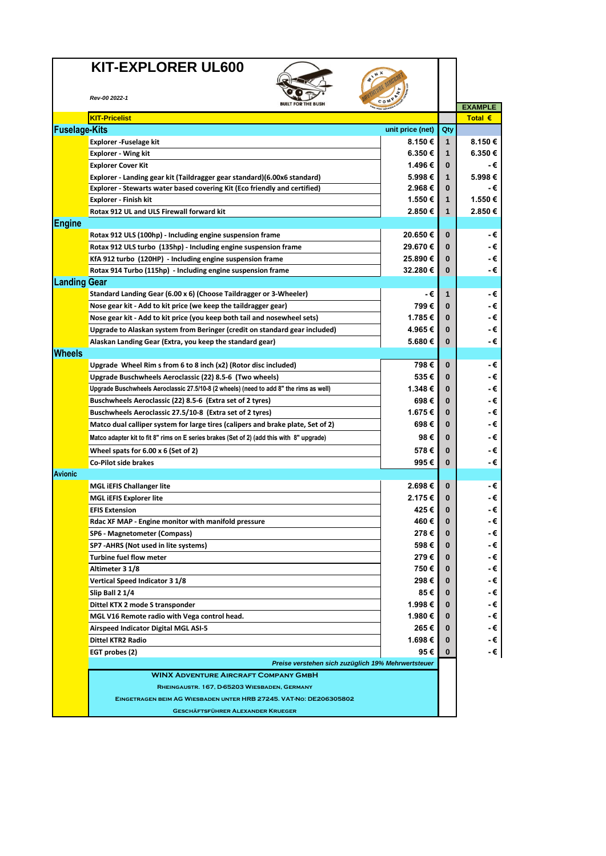## **KIT-EXPLORER UL600**



|                      | Rev-00 2022-1                                                                             | <b>BUILT FOR THE BUSH</b> | COMP             |              |                |
|----------------------|-------------------------------------------------------------------------------------------|---------------------------|------------------|--------------|----------------|
|                      |                                                                                           |                           |                  |              | <b>EXAMPLE</b> |
|                      | <b>KIT-Pricelist</b>                                                                      |                           |                  |              | Total €        |
| <b>Fuselage-Kits</b> |                                                                                           |                           | unit price (net) | Qty          |                |
|                      | Explorer - Fuselage kit                                                                   |                           | 8.150€           | $\mathbf{1}$ | 8.150€         |
|                      | <b>Explorer - Wing kit</b>                                                                |                           | 6.350€           | $\mathbf{1}$ | 6.350€         |
|                      | <b>Explorer Cover Kit</b>                                                                 |                           | 1.496 €          | $\bf{0}$     | - €            |
|                      | Explorer - Landing gear kit (Taildragger gear standard)(6.00x6 standard)                  |                           | 5.998€           | $\mathbf 1$  | 5.998€         |
|                      | Explorer - Stewarts water based covering Kit (Eco friendly and certified)                 |                           | 2.968€           | $\bf{0}$     | - €            |
|                      | Explorer - Finish kit                                                                     |                           | 1.550€           | $\mathbf{1}$ | 1.550€         |
|                      | Rotax 912 UL and ULS Firewall forward kit                                                 |                           | 2.850€           | 1            | 2.850€         |
| Engine               |                                                                                           |                           |                  |              |                |
|                      | Rotax 912 ULS (100hp) - Including engine suspension frame                                 |                           | 20.650€          | $\bf{0}$     | -€             |
|                      | Rotax 912 ULS turbo (135hp) - Including engine suspension frame                           |                           | 29.670€          | $\bf{0}$     | - €            |
|                      | KfA 912 turbo (120HP) - Including engine suspension frame                                 |                           | 25.890€          | $\bf{0}$     | - €            |
|                      | Rotax 914 Turbo (115hp) - Including engine suspension frame                               |                           | 32.280€          | $\bf{0}$     | - €            |
| <b>Landing Gear</b>  |                                                                                           |                           |                  |              |                |
|                      | Standard Landing Gear (6.00 x 6) (Choose Taildragger or 3-Wheeler)                        |                           | -€               | $\mathbf{1}$ | - €            |
|                      | Nose gear kit - Add to kit price (we keep the taildragger gear)                           |                           | 799€             | $\bf{0}$     | - €            |
|                      | Nose gear kit - Add to kit price (you keep both tail and nosewheel sets)                  |                           | 1.785€           | $\bf{0}$     | - €            |
|                      | Upgrade to Alaskan system from Beringer (credit on standard gear included)                |                           | 4.965 €          | $\bf{0}$     | -€             |
|                      | Alaskan Landing Gear (Extra, you keep the standard gear)                                  |                           | 5.680€           | $\bf{0}$     | - €            |
| <b>Wheels</b>        |                                                                                           |                           |                  |              |                |
|                      | Upgrade Wheel Rim s from 6 to 8 inch (x2) (Rotor disc included)                           |                           | 798€             | $\bf{0}$     | - €            |
|                      | Upgrade Buschwheels Aeroclassic (22) 8.5-6 (Two wheels)                                   |                           | 535€             | $\bf{0}$     | - €            |
|                      | Upgrade Buschwheels Aeroclassic 27.5/10-8 (2 wheels) (need to add 8" the rims as well)    |                           | 1.348€           | $\bf{0}$     | -€             |
|                      | Buschwheels Aeroclassic (22) 8.5-6 (Extra set of 2 tyres)                                 |                           | 698€             | $\bf{0}$     | - €            |
|                      | Buschwheels Aeroclassic 27.5/10-8 (Extra set of 2 tyres)                                  |                           | 1.675 €          | $\bf{0}$     | - €            |
|                      | Matco dual calliper system for large tires (calipers and brake plate, Set of 2)           |                           | 698€             | $\bf{0}$     | - €            |
|                      | Matco adapter kit to fit 8" rims on E series brakes (Set of 2) (add this with 8" upgrade) |                           | 98€              | $\bf{0}$     | - €            |
|                      | Wheel spats for $6.00 \times 6$ (Set of 2)                                                |                           | 578€             | $\bf{0}$     | - €            |
|                      | <b>Co-Pilot side brakes</b>                                                               |                           | 995€             | $\bf{0}$     | - €            |
| <b>Avionic</b>       |                                                                                           |                           |                  |              |                |
|                      | <b>MGL iEFIS Challanger lite</b>                                                          |                           | 2.698€           | $\bf{0}$     | - €            |
|                      | <b>MGL IEFIS Explorer lite</b>                                                            |                           | 2.175€           | $\bf{0}$     | - €            |
|                      | <b>EFIS Extension</b>                                                                     |                           | 425€             | $\bf{0}$     | - €            |
|                      |                                                                                           |                           | 460€             | $\bf{0}$     | - €            |
|                      | Rdac XF MAP - Engine monitor with manifold pressure                                       |                           | 278€             | $\bf{0}$     | - €            |
|                      | SP6 - Magnetometer (Compass)                                                              |                           | 598€             | $\bf{0}$     | -€             |
|                      | SP7 - AHRS (Not used in lite systems)                                                     |                           |                  |              |                |
|                      | Turbine fuel flow meter                                                                   |                           | 279 €            | $\bf{0}$     | - €            |
|                      | Altimeter 3 1/8                                                                           |                           | 750€             | $\bf{0}$     | - €            |
|                      | <b>Vertical Speed Indicator 3 1/8</b>                                                     |                           | 298€             | $\bf{0}$     | - €            |
|                      | Slip Ball 2 1/4                                                                           |                           | 85€              | $\bf{0}$     | - €            |
|                      | Dittel KTX 2 mode S transponder                                                           |                           | 1.998 €          | 0            | - €            |
|                      | MGL V16 Remote radio with Vega control head.                                              |                           | 1.980 €          | 0            | - €            |
|                      | Airspeed Indicator Digital MGL ASI-5                                                      |                           | 265€             | 0            | - €            |
|                      | <b>Dittel KTR2 Radio</b>                                                                  |                           | 1.698€           | $\bf{0}$     | - €            |
|                      | 95€<br>EGT probes (2)<br>Preise verstehen sich zuzüglich 19% Mehrwertsteuer               |                           |                  |              | - €            |
|                      |                                                                                           |                           |                  |              |                |
|                      | <b>WINX ADVENTURE AIRCRAFT COMPANY GMBH</b>                                               |                           |                  |              |                |
|                      | RHEINGAUSTR. 167, D-65203 WIESBADEN, GERMANY                                              |                           |                  |              |                |
|                      | EINGETRAGEN BEIM AG WIESBADEN UNTER HRB 27245. VAT-NO: DE206305802                        |                           |                  |              |                |
|                      | <b>GESCHÄFTSFÜHRER ALEXANDER KRUEGER</b>                                                  |                           |                  |              |                |